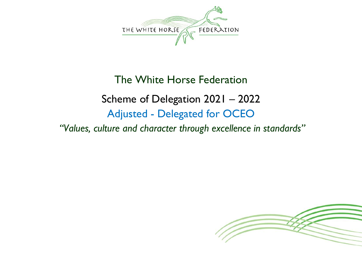

# The White Horse Federation Scheme of Delegation 2021 – 2022 Adjusted - Delegated for OCEO *"Values, culture and character through excellence in standards"*

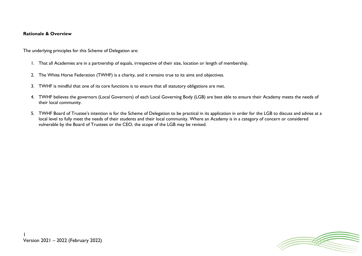#### **Rationale & Overview**

The underlying principles for this Scheme of Delegation are:

- 1. That all Academies are in a partnership of equals, irrespective of their size, location or length of membership.
- 2. The White Horse Federation (TWHF) is a charity, and it remains true to its aims and objectives.
- 3. TWHF is mindful that one of its core functions is to ensure that all statutory obligations are met.
- 4. TWHF believes the governors (Local Governors) of each Local Governing Body (LGB) are best able to ensure their Academy meets the needs of their local community.
- 5. TWHF Board of Trustee's intention is for the Scheme of Delegation to be practical in its application in order for the LGB to discuss and advise at a local level to fully meet the needs of their students and their local community. Where an Academy is in a category of concern or considered vulnerable by the Board of Trustees or the CEO, the scope of the LGB may be revised.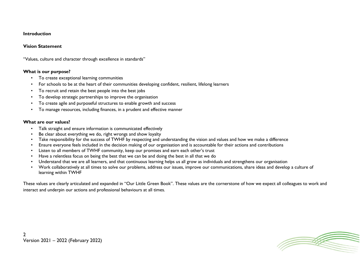#### **Introduction**

#### **Vision Statement**

"Values, culture and character through excellence in standards"

#### **What is our purpose?**

- To create exceptional learning communities
- For schools to be at the heart of their communities developing confident, resilient, lifelong learners
- To recruit and retain the best people into the best jobs
- To develop strategic partnerships to improve the organisation
- To create agile and purposeful structures to enable growth and success
- To manage resources, including finances, in a prudent and effective manner

#### **What are our values?**

- Talk straight and ensure information is communicated effectively
- Be clear about everything we do, right wrongs and show loyalty
- Take responsibility for the success of TWHF by respecting and understanding the vision and values and how we make a difference
- Ensure everyone feels included in the decision making of our organisation and is accountable for their actions and contributions
- Listen to all members of TWHF community, keep our promises and earn each other's trust
- Have a relentless focus on being the best that we can be and doing the best in all that we do
- Understand that we are all learners, and that continuous learning helps us all grow as individuals and strengthens our organisation
- Work collaboratively at all times to solve our problems, address our issues, improve our communications, share ideas and develop a culture of learning within TWHF

These values are clearly articulated and expanded in "Our Little Green Book". These values are the cornerstone of how we expect all colleagues to work and interact and underpin our actions and professional behaviours at all times.

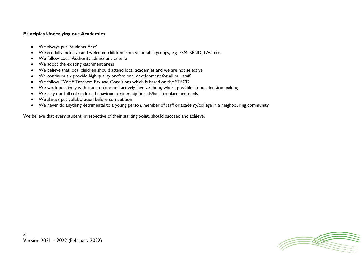#### **Principles Underlying our Academies**

- We always put 'Students First'
- We are fully inclusive and welcome children from vulnerable groups, e.g. FSM, SEND, LAC etc.
- We follow Local Authority admissions criteria
- We adopt the existing catchment areas
- We believe that local children should attend local academies and we are not selective
- We continuously provide high quality professional development for all our staff
- We follow TWHF Teachers Pay and Conditions which is based on the STPCD
- We work positively with trade unions and actively involve them, where possible, in our decision making
- We play our full role in local behaviour partnership boards/hard to place protocols
- We always put collaboration before competition
- We never do anything detrimental to a young person, member of staff or academy/college in a neighbouring community

We believe that every student, irrespective of their starting point, should succeed and achieve.

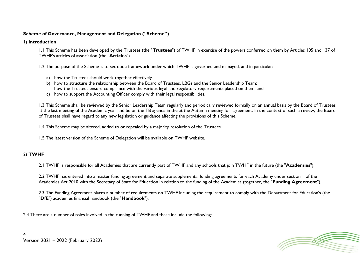#### **Scheme of Governance, Management and Delegation ("Scheme")**

1) **Introduction** 

1.1 This Scheme has been developed by the Trustees (the "**Trustees**") of TWHF in exercise of the powers conferred on them by Articles 105 and 137 of TWHF's articles of association (the "**Articles**").

1.2 The purpose of the Scheme is to set out a framework under which TWHF is governed and managed, and in particular:

- a) how the Trustees should work together effectively.
- b) how to structure the relationship between the Board of Trustees, LBGs and the Senior Leadership Team; how the Trustees ensure compliance with the various legal and regulatory requirements placed on them; and
- c) how to support the Accounting Officer comply with their legal responsibilities.

1.3 This Scheme shall be reviewed by the Senior Leadership Team regularly and periodically reviewed formally on an annual basis by the Board of Trustees at the last meeting of the Academic year and be on the TB agenda in the at the Autumn meeting for agreement. In the context of such a review, the Board of Trustees shall have regard to any new legislation or guidance affecting the provisions of this Scheme.

1.4 This Scheme may be altered, added to or repealed by a majority resolution of the Trustees.

1.5 The latest version of the Scheme of Delegation will be available on TWHF website.

## 2) **TWHF**

2.1 TWHF is responsible for all Academies that are currently part of TWHF and any schools that join TWHF in the future (the "**Academies**").

2.2 TWHF has entered into a master funding agreement and separate supplemental funding agreements for each Academy under section 1 of the Academies Act 2010 with the Secretary of State for Education in relation to the funding of the Academies (together, the "**Funding Agreement**").

2.3 The Funding Agreement places a number of requirements on TWHF including the requirement to comply with the Department for Education's (the "**DfE**") academies financial handbook (the "**Handbook**").

2.4 There are a number of roles involved in the running of TWHF and these include the following: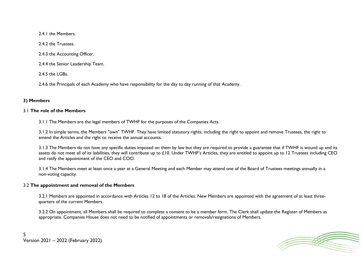2.4.1 the Members.

2.4.2 the Trustees.

2.4.3 the Accounting Officer.

2.4.4 the Senior Leadership Team.

2.4.5 the LGBs.

2.4.6 the Principals of each Academy who have responsibility for the day to day running of that Academy.

## **3) Members**

## 3.1 **The role of the Members**

3.1.1 The Members are the legal members of TWHF for the purposes of the Companies Acts.

3.1.2 In simple terms, the Members "own" TWHF. They have limited statutory rights, including the right to appoint and remove Trustees, the right to amend the Articles and the right to receive the annual accounts.

3.1.3 The Members do not have any specific duties imposed on them by law but they are required to provide a guarantee that if TWHF is wound up and its assets do not meet all of its liabilities, they will contribute up to £10. Under TWHF's Articles, they are entitled to appoint up to 12 Trustees including CEO and ratify the appointment of the CEO and COO.

3.1.4 The Members meet at least once a year at a General Meeting and each Member may attend one of the Board of Trustees meetings annually in a non-voting capacity.

## 3.2 **The appointment and removal of the Members**

3.2.1 Members are appointed in accordance with Articles 12 to 18 of the Articles. New Members are appointed with the agreement of at least threequarters of the current Members.

3.2.2 On appointment, all Members shall be required to complete a consent to be a member form. The Clerk shall update the Register of Members as appropriate. Companies House does not need to be notified of appointments or removals/resignations of Members.



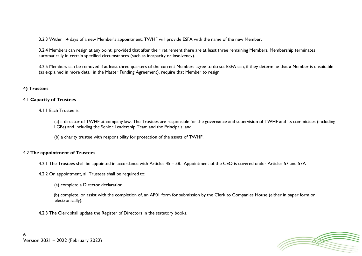3.2.3 Within 14 days of a new Member's appointment, TWHF will provide ESFA with the name of the new Member.

3.2.4 Members can resign at any point, provided that after their retirement there are at least three remaining Members. Membership terminates automatically in certain specified circumstances (such as incapacity or insolvency).

3.2.5 Members can be removed if at least three quarters of the current Members agree to do so. ESFA can, if they determine that a Member is unsuitable (as explained in more detail in the Master Funding Agreement), require that Member to resign.

## **4) Trustees**

#### 4.1 **Capacity of Trustees**

#### 4.1.1 Each Trustee is:

(a) a director of TWHF at company law. The Trustees are responsible for the governance and supervision of TWHF and its committees (including LGBs) and including the Senior Leadership Team and the Principals; and

(b) a charity trustee with responsibility for protection of the assets of TWHF.

## 4.2 **The appointment of Trustees**

4.2.1 The Trustees shall be appointed in accordance with Articles 45 – 58. Appointment of the CEO is covered under Articles 57 and 57A

4.2.2 On appointment, all Trustees shall be required to:

(a) complete a Director declaration.

(b) complete, or assist with the completion of, an AP01 form for submission by the Clerk to Companies House (either in paper form or electronically).

4.2.3 The Clerk shall update the Register of Directors in the statutory books.

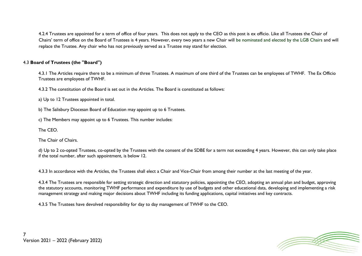4.2.4 Trustees are appointed for a term of office of four years. This does not apply to the CEO as this post is ex officio. Like all Trustees the Chair of Chairs' term of office on the Board of Trustees is 4 years. However, every two years a new Chair will be nominated and elected by the LGB Chairs and will replace the Trustee. Any chair who has not previously served as a Trustee may stand for election.

## 4.3 **Board of Trustees (the "Board")**

4.3.1 The Articles require there to be a minimum of three Trustees. A maximum of one third of the Trustees can be employees of TWHF. The Ex Officio Trustees are employees of TWHF.

4.3.2 The constitution of the Board is set out in the Articles. The Board is constituted as follows:

a) Up to 12 Trustees appointed in total.

b) The Salisbury Diocesan Board of Education may appoint up to 6 Trustees.

c) The Members may appoint up to 6 Trustees. This number includes:

The CEO.

The Chair of Chairs.

d) Up to 2 co-opted Trustees, co-opted by the Trustees with the consent of the SDBE for a term not exceeding 4 years. However, this can only take place if the total number, after such appointment, is below 12.

4.3.3 In accordance with the Articles, the Trustees shall elect a Chair and Vice-Chair from among their number at the last meeting of the year.

4.3.4 The Trustees are responsible for setting strategic direction and statutory policies, appointing the CEO, adopting an annual plan and budget, approving the statutory accounts, monitoring TWHF performance and expenditure by use of budgets and other educational data, developing and implementing a risk management strategy and making major decisions about TWHF including its funding applications, capital initiatives and key contracts.

4.3.5 The Trustees have devolved responsibility for day to day management of TWHF to the CEO.

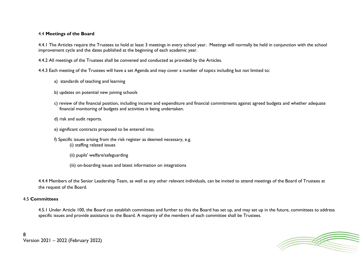#### 4.4 **Meetings of the Board**

4.4.1 The Articles require the Trustees to hold at least 3 meetings in every school year. Meetings will normally be held in conjunction with the school improvement cycle and the dates published at the beginning of each academic year.

4.4.2 All meetings of the Trustees shall be convened and conducted as provided by the Articles.

4.4.3 Each meeting of the Trustees will have a set Agenda and may cover a number of topics including but not limited to:

- a) standards of teaching and learning
- b) updates on potential new joining schools
- c) review of the financial position, including income and expenditure and financial commitments against agreed budgets and whether adequate financial monitoring of budgets and activities is being undertaken.
- d) risk and audit reports.
- e) significant contracts proposed to be entered into.
- f) Specific issues arising from the risk register as deemed necessary, e.g. (i) staffing related issues
	- (ii) pupils' welfare/safeguarding
	- (iii) on-boarding issues and latest information on integrations

4.4.4 Members of the Senior Leadership Team, as well as any other relevant individuals, can be invited to attend meetings of the Board of Trustees at the request of the Board.

#### 4.5 **Committees**

4.5.1 Under Article 100, the Board can establish committees and further to this the Board has set up, and may set up in the future, committees to address specific issues and provide assistance to the Board. A majority of the members of each committee shall be Trustees.



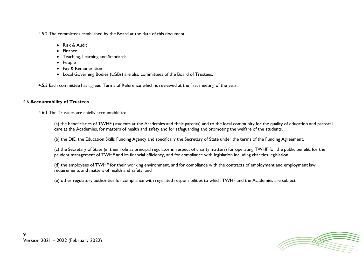4.5.2 The committees established by the Board at the date of this document:

- Risk & Audit
- Finance
- Teaching, Learning and Standards
- People
- Pay & Remuneration
- Local Governing Bodies (LGBs) are also committees of the Board of Trustees.

4.5.3 Each committee has agreed Terms of Reference which is reviewed at the first meeting of the year.

#### 4.6 **Accountability of Trustees**

4.6.1 The Trustees are chiefly accountable to:

(a) the beneficiaries of TWHF (students at the Academies and their parents) and to the local community for the quality of education and pastoral care at the Academies, for matters of health and safety and for safeguarding and promoting the welfare of the students.

(b) the DfE, the Education Skills Funding Agency and specifically the Secretary of State under the terms of the Funding Agreement.

(c) the Secretary of State (in their role as principal regulator in respect of charity matters) for operating TWHF for the public benefit, for the prudent management of TWHF and its financial efficiency, and for compliance with legislation including charities legislation.

(d) the employees of TWHF for their working environment, and for compliance with the contracts of employment and employment law requirements and matters of health and safety; and

(e) other regulatory authorities for compliance with regulated responsibilities to which TWHF and the Academies are subject.

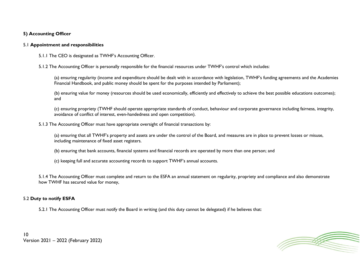## **5) Accounting Officer**

#### 5.1 **Appointment and responsibilities**

- 5.1.1 The CEO is designated as TWHF's Accounting Officer.
- 5.1.2 The Accounting Officer is personally responsible for the financial resources under TWHF's control which includes:

(a) ensuring regularity (income and expenditure should be dealt with in accordance with legislation, TWHF's funding agreements and the Academies Financial Handbook, and public money should be spent for the purposes intended by Parliament);

(b) ensuring value for money (resources should be used economically, efficiently and effectively to achieve the best possible educations outcomes); and

(c) ensuring propriety (TWHF should operate appropriate standards of conduct, behaviour and corporate governance including fairness, integrity, avoidance of conflict of interest, even-handedness and open competition).

5.1.3 The Accounting Officer must have appropriate oversight of financial transactions by:

(a) ensuring that all TWHF's property and assets are under the control of the Board, and measures are in place to prevent losses or misuse, including maintenance of fixed asset registers.

- (b) ensuring that bank accounts, financial systems and financial records are operated by more than one person; and
- (c) keeping full and accurate accounting records to support TWHF's annual accounts.

5.1.4 The Accounting Officer must complete and return to the ESFA an annual statement on regularity, propriety and compliance and also demonstrate how TWHF has secured value for money,

## 5.2 **Duty to notify ESFA**

5.2.1 The Accounting Officer must notify the Board in writing (and this duty cannot be delegated) if he believes that:

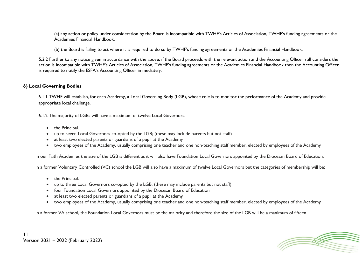(a) any action or policy under consideration by the Board is incompatible with TWHF's Articles of Association, TWHF's funding agreements or the Academies Financial Handbook.

(b) the Board is failing to act where it is required to do so by TWHF's funding agreements or the Academies Financial Handbook.

5.2.2 Further to any notice given in accordance with the above, if the Board proceeds with the relevant action and the Accounting Officer still considers the action is incompatible with TWHF's Articles of Association, TWHF's funding agreements or the Academies Financial Handbook then the Accounting Officer is required to notify the ESFA's Accounting Officer immediately.

#### **6) Local Governing Bodies**

6.1.1 TWHF will establish, for each Academy, a Local Governing Body (LGB), whose role is to monitor the performance of the Academy and provide appropriate local challenge.

6.1.2 The majority of LGBs will have a maximum of twelve Local Governors:

- the Principal.
- up to seven Local Governors co-opted by the LGB; (these may include parents but not staff)
- at least two elected parents or guardians of a pupil at the Academy
- two employees of the Academy, usually comprising one teacher and one non-teaching staff member, elected by employees of the Academy

In our Faith Academies the size of the LGB is different as it will also have Foundation Local Governors appointed by the Diocesan Board of Education.

In a former Voluntary Controlled (VC) school the LGB will also have a maximum of twelve Local Governors but the categories of membership will be:

- the Principal.
- up to three Local Governors co-opted by the LGB; (these may include parents but not staff)
- four Foundation Local Governors appointed by the Diocesan Board of Education
- at least two elected parents or guardians of a pupil at the Academy
- two employees of the Academy, usually comprising one teacher and one non-teaching staff member, elected by employees of the Academy

In a former VA school, the Foundation Local Governors must be the majority and therefore the size of the LGB will be a maximum of fifteen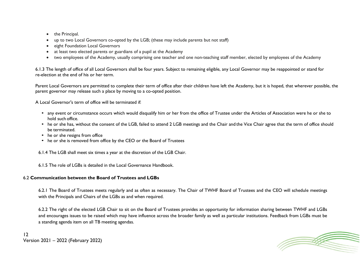- the Principal.
- up to two Local Governors co-opted by the LGB; (these may include parents but not staff)
- eight Foundation Local Governors
- at least two elected parents or guardians of a pupil at the Academy
- two employees of the Academy, usually comprising one teacher and one non-teaching staff member, elected by employees of the Academy

6.1.3 The length of office of all Local Governors shall be four years. Subject to remaining eligible, any Local Governor may be reappointed or stand for re-election at the end of his or her term.

Parent Local Governors are permitted to complete their term of office after their children have left the Academy, but it is hoped, that wherever possible, the parent governor may release such a place by moving to a co-opted position.

A Local Governor's term of office will be terminated if:

- any event or circumstance occurs which would disqualify him or her from the office of Trustee under the Articles of Association were he or she to hold such office.
- he or she has, without the consent of the LGB, failed to attend 2 LGB meetings and the Chair and the Vice Chair agree that the term of office should be terminated.
- he or she resigns from office
- he or she is removed from office by the CEO or the Board of Trustees
- 6.1.4 The LGB shall meet six times a year at the discretion of the LGB Chair.

6.1.5 The role of LGBs is detailed in the Local Governance Handbook.

## 6.2 **Communication between the Board of Trustees and LGBs**

6.2.1 The Board of Trustees meets regularly and as often as necessary. The Chair of TWHF Board of Trustees and the CEO will schedule meetings with the Principals and Chairs of the LGBs as and when required.

6.2.2 The right of the elected LGB Chair to sit on the Board of Trustees provides an opportunity for information sharing between TWHF and LGBs and encourages issues to be raised which may have influence across the broader family as well as particular institutions. Feedback from LGBs must be a standing agenda item on all TB meeting agendas.

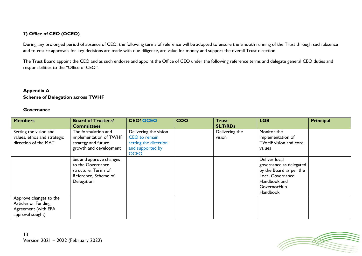## **7) Office of CEO (OCEO)**

During any prolonged period of absence of CEO, the following terms of reference will be adopted to ensure the smooth running of the Trust through such absence and to ensure approvals for key decisions are made with due diligence, are value for money and support the overall Trust direction.

The Trust Board appoint the CEO and as such endorse and appoint the Office of CEO under the following reference terms and delegate general CEO duties and responsibilities to the "Office of CEO".

## **Appendix A Scheme of Delegation across TWHF**

#### **Governance**

| <b>Members</b>                                                                           | <b>Board of Trustees/</b><br><b>Committees</b>                                                            | <b>CEO/OCEO</b>                                                                                    | <b>COO</b> | <b>Trust</b><br><b>SLT/RDs</b> | <b>LGB</b>                                                                                                                         | Principal |
|------------------------------------------------------------------------------------------|-----------------------------------------------------------------------------------------------------------|----------------------------------------------------------------------------------------------------|------------|--------------------------------|------------------------------------------------------------------------------------------------------------------------------------|-----------|
| Setting the vision and<br>values, ethos and strategic<br>direction of the MAT            | The formulation and<br>implementation of TWHF<br>strategy and future<br>growth and development            | Delivering the vision<br>CEO to remain<br>setting the direction<br>and supported by<br><b>OCEO</b> |            | Delivering the<br>vision       | Monitor the<br>implementation of<br>TWHF vision and core<br>values                                                                 |           |
|                                                                                          | Set and approve changes<br>to the Governance<br>structure, Terms of<br>Reference, Scheme of<br>Delegation |                                                                                                    |            |                                | Deliver local<br>governance as delegated<br>by the Board as per the<br>Local Governance<br>Handbook and<br>GovernorHub<br>Handbook |           |
| Approve changes to the<br>Articles or Funding<br>Agreement (with EFA<br>approval sought) |                                                                                                           |                                                                                                    |            |                                |                                                                                                                                    |           |

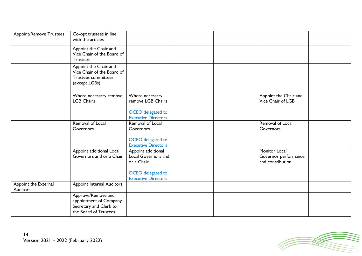| <b>Appoint/Remove Trustees</b>          | Co-opt trustees in line<br>with the articles                                                       |                                                                                                                   |  |                                                           |  |
|-----------------------------------------|----------------------------------------------------------------------------------------------------|-------------------------------------------------------------------------------------------------------------------|--|-----------------------------------------------------------|--|
|                                         | Appoint the Chair and<br>Vice Chair of the Board of<br><b>Trustees</b>                             |                                                                                                                   |  |                                                           |  |
|                                         | Appoint the Chair and<br>Vice Chair of the Board of<br><b>Trustees committees</b><br>(except LGBs) |                                                                                                                   |  |                                                           |  |
|                                         | Where necessary remove<br><b>LGB Chairs</b>                                                        | Where necessary<br>remove LGB Chairs<br><b>OCEO</b> delegated to<br><b>Executive Directors</b>                    |  | Appoint the Chair and<br>Vice Chair of LGB                |  |
|                                         | Removal of Local<br>Governors                                                                      | Removal of Local<br>Governors<br>OCEO delegated to<br><b>Executive Directors</b>                                  |  | Removal of Local<br>Governors                             |  |
|                                         | Appoint additional Local<br>Governors and or a Chair                                               | Appoint additional<br>Local Governors and<br>or a Chair<br><b>OCEO</b> delegated to<br><b>Executive Directors</b> |  | Monitor Local<br>Governor performance<br>and contribution |  |
| Appoint the External<br><b>Auditors</b> | <b>Appoint Internal Auditors</b>                                                                   |                                                                                                                   |  |                                                           |  |
|                                         | Approve/Remove and<br>appointment of Company<br>Secretary and Clerk to<br>the Board of Trustees    |                                                                                                                   |  |                                                           |  |

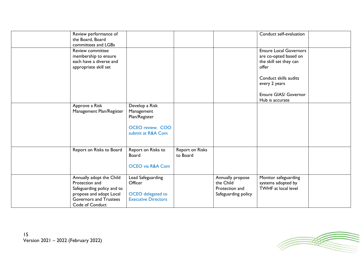| Review performance of         |                             |                 |                     | Conduct self-evaluation       |  |
|-------------------------------|-----------------------------|-----------------|---------------------|-------------------------------|--|
| the Board, Board              |                             |                 |                     |                               |  |
| committees and LGBs           |                             |                 |                     |                               |  |
| Review committee              |                             |                 |                     | <b>Ensure Local Governors</b> |  |
| membership to ensure          |                             |                 |                     | are co-opted based on         |  |
| each have a diverse and       |                             |                 |                     | the skill set they can        |  |
| appropriate skill set         |                             |                 |                     | offer                         |  |
|                               |                             |                 |                     |                               |  |
|                               |                             |                 |                     | Conduct skills audits         |  |
|                               |                             |                 |                     | every 2 years                 |  |
|                               |                             |                 |                     |                               |  |
|                               |                             |                 |                     | Ensure GIAS/ Governor         |  |
|                               |                             |                 |                     | Hub is accurate               |  |
| Approve a Risk                | Develop a Risk              |                 |                     |                               |  |
| Management Plan/Register      | Management                  |                 |                     |                               |  |
|                               | Plan/Register               |                 |                     |                               |  |
|                               |                             |                 |                     |                               |  |
|                               | OCEO review. COO            |                 |                     |                               |  |
|                               | submit at R&A Com           |                 |                     |                               |  |
|                               |                             |                 |                     |                               |  |
|                               |                             |                 |                     |                               |  |
| Report on Risks to Board      | Report on Risks to          | Report on Risks |                     |                               |  |
|                               | <b>Board</b>                | to Board        |                     |                               |  |
|                               | <b>OCEO via R&amp;A Com</b> |                 |                     |                               |  |
|                               |                             |                 |                     |                               |  |
| Annually adopt the Child      | Lead Safeguarding           |                 | Annually propose    | Monitor safeguarding          |  |
| Protection and                | Officer                     |                 | the Child           | systems adopted by            |  |
| Safeguarding policy and to    |                             |                 | Protection and      | <b>TWHF</b> at local level    |  |
| propose and adopt Local       | <b>OCEO</b> delegated to    |                 | Safeguarding policy |                               |  |
| <b>Governors and Trustees</b> | <b>Executive Directors</b>  |                 |                     |                               |  |
| Code of Conduct               |                             |                 |                     |                               |  |
|                               |                             |                 |                     |                               |  |

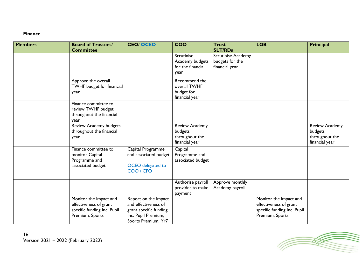## **Finance**

| <b>Members</b> | <b>Board of Trustees/</b><br><b>Committee</b>                                                      | <b>CEO/OCEO</b>                                                                                                      | <b>COO</b>                                                    | <b>Trust</b><br><b>SLT/RDs</b>                          | <b>LGB</b>                                                                                         | <b>Principal</b>                                                     |
|----------------|----------------------------------------------------------------------------------------------------|----------------------------------------------------------------------------------------------------------------------|---------------------------------------------------------------|---------------------------------------------------------|----------------------------------------------------------------------------------------------------|----------------------------------------------------------------------|
|                |                                                                                                    |                                                                                                                      | Scrutinise<br>Academy budgets<br>for the financial<br>year    | Scrutinise Academy<br>budgets for the<br>financial year |                                                                                                    |                                                                      |
|                | Approve the overall<br>TWHF budget for financial<br>year                                           |                                                                                                                      | Recommend the<br>overall TWHF<br>budget for<br>financial year |                                                         |                                                                                                    |                                                                      |
|                | Finance committee to<br>review TWHF budget<br>throughout the financial<br>year                     |                                                                                                                      |                                                               |                                                         |                                                                                                    |                                                                      |
|                | Review Academy budgets<br>throughout the financial<br>year                                         |                                                                                                                      | Review Academy<br>budgets<br>throughout the<br>financial year |                                                         |                                                                                                    | <b>Review Academy</b><br>budgets<br>throughout the<br>financial year |
|                | Finance committee to<br>monitor Capital<br>Programme and<br>associated budget                      | Capital Programme<br>and associated budget<br>OCEO delegated to<br>COO / CFO                                         | Capital<br>Programme and<br>associated budget                 |                                                         |                                                                                                    |                                                                      |
|                |                                                                                                    |                                                                                                                      | Authorise payroll<br>provider to make<br>payment              | Approve monthly<br>Academy payroll                      |                                                                                                    |                                                                      |
|                | Monitor the impact and<br>effectiveness of grant<br>specific funding Inc. Pupil<br>Premium, Sports | Report on the impact<br>and effectiveness of<br>grant specific funding<br>Inc. Pupil Premium,<br>Sports Premium, Yr7 |                                                               |                                                         | Monitor the impact and<br>effectiveness of grant<br>specific funding Inc. Pupil<br>Premium, Sports |                                                                      |

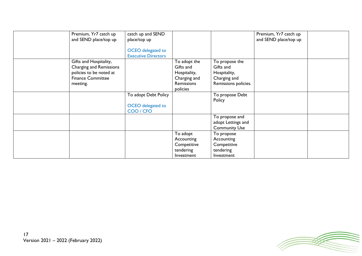| Premium, Yr7 catch up<br>and SEND place/top up                                                                       | catch up and SEND<br>place/top up<br><b>OCEO</b> delegated to<br><b>Executive Directors</b> |                                                                                     |                                                                                     | Premium, Yr7 catch up<br>and SEND place/top up |  |
|----------------------------------------------------------------------------------------------------------------------|---------------------------------------------------------------------------------------------|-------------------------------------------------------------------------------------|-------------------------------------------------------------------------------------|------------------------------------------------|--|
| Gifts and Hospitality,<br>Charging and Remissions<br>policies to be noted at<br><b>Finance Committee</b><br>meeting. |                                                                                             | To adopt the<br>Gifts and<br>Hospitality,<br>Charging and<br>Remissions<br>policies | To propose the<br>Gifts and<br>Hospitality,<br>Charging and<br>Remissions policies. |                                                |  |
|                                                                                                                      | To adopt Debt Policy<br>OCEO delegated to<br>COO / CFO                                      |                                                                                     | To propose Debt<br>Policy                                                           |                                                |  |
|                                                                                                                      |                                                                                             |                                                                                     | To propose and<br>adopt Lettings and<br><b>Community Use</b>                        |                                                |  |
|                                                                                                                      |                                                                                             | To adopt<br>Accounting<br>Competitive<br>tendering<br>Investment                    | To propose<br>Accounting<br>Competitive<br>tendering<br>Investment                  |                                                |  |

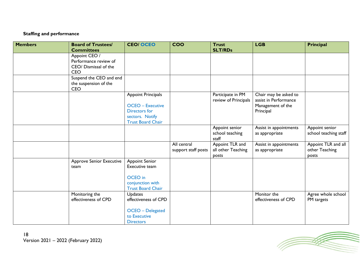# **Staffing and performance**

| <b>Members</b> | <b>Board of Trustees/</b><br><b>Committees</b> | <b>CEO/OCEO</b>           | <b>COO</b>          | <b>Trust</b><br><b>SLT/RDs</b> | <b>LGB</b>             | Principal             |
|----------------|------------------------------------------------|---------------------------|---------------------|--------------------------------|------------------------|-----------------------|
|                | Appoint CEO /                                  |                           |                     |                                |                        |                       |
|                | Performance review of                          |                           |                     |                                |                        |                       |
|                | CEO/ Dismissal of the                          |                           |                     |                                |                        |                       |
|                | <b>CEO</b>                                     |                           |                     |                                |                        |                       |
|                | Suspend the CEO and end                        |                           |                     |                                |                        |                       |
|                | the suspension of the                          |                           |                     |                                |                        |                       |
|                | <b>CEO</b>                                     |                           |                     |                                |                        |                       |
|                |                                                | <b>Appoint Principals</b> |                     | Participate in PM              | Chair may be asked to  |                       |
|                |                                                |                           |                     | review of Principals           | assist in Performance  |                       |
|                |                                                | <b>OCEO</b> - Executive   |                     |                                | Management of the      |                       |
|                |                                                | <b>Directors for</b>      |                     |                                | Principal              |                       |
|                |                                                | sectors. Notify           |                     |                                |                        |                       |
|                |                                                | <b>Trust Board Chair</b>  |                     |                                |                        |                       |
|                |                                                |                           |                     | Appoint senior                 | Assist in appointments | Appoint senior        |
|                |                                                |                           |                     | school teaching<br>staff       | as appropriate         | school teaching staff |
|                |                                                |                           | All central         | Appoint TLR and                | Assist in appointments | Appoint TLR and all   |
|                |                                                |                           | support staff posts | all other Teaching             | as appropriate         | other Teaching        |
|                |                                                |                           |                     | posts                          |                        | posts                 |
|                | <b>Approve Senior Executive</b>                | <b>Appoint Senior</b>     |                     |                                |                        |                       |
|                | team                                           | Executive team            |                     |                                |                        |                       |
|                |                                                | <b>OCEO</b> in            |                     |                                |                        |                       |
|                |                                                | conjunction with          |                     |                                |                        |                       |
|                |                                                | <b>Trust Board Chair</b>  |                     |                                |                        |                       |
|                | Monitoring the                                 | Updates                   |                     |                                | Monitor the            | Agree whole school    |
|                | effectiveness of CPD                           | effectiveness of CPD      |                     |                                | effectiveness of CPD   | PM targets            |
|                |                                                | <b>OCEO</b> - Delegated   |                     |                                |                        |                       |
|                |                                                | to Executive              |                     |                                |                        |                       |
|                |                                                | <b>Directors</b>          |                     |                                |                        |                       |

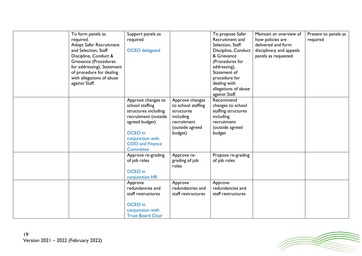| To form panels as          |                          |                    | To propose Safer     | Maintain an overview of  | Present to panels as |
|----------------------------|--------------------------|--------------------|----------------------|--------------------------|----------------------|
|                            | Support panels as        |                    | Recruitment and      |                          |                      |
| required.                  | required                 |                    |                      | how policies are         | required             |
| Adopt Safer Recruitment    |                          |                    | Selection, Staff     | delivered and form       |                      |
| and Selection, Staff       | <b>OCEO</b> delegated    |                    | Discipline, Conduct  | disciplinary and appeals |                      |
| Discipline, Conduct &      |                          |                    | & Grievance          | panels as requested      |                      |
| Grievance (Procedures      |                          |                    | (Procedures for      |                          |                      |
| for addressing), Statement |                          |                    | addressing),         |                          |                      |
| of procedure for dealing   |                          |                    | Statement of         |                          |                      |
| with allegations of abuse  |                          |                    | procedure for        |                          |                      |
| against Staff.             |                          |                    | dealing with         |                          |                      |
|                            |                          |                    | allegations of abuse |                          |                      |
|                            |                          |                    | against Staff.       |                          |                      |
|                            | Approve changes to       | Approve changes    | Recommend            |                          |                      |
|                            | school staffing          | to school staffing | changes to school    |                          |                      |
|                            | structures including     | structures         | staffing structures  |                          |                      |
|                            | recruitment (outside     | including          | including            |                          |                      |
|                            | agreed budget)           | recruitment        | recruitment          |                          |                      |
|                            |                          | (outside agreed    | (outside agreed      |                          |                      |
|                            | OCEO in                  | budget)            | budget               |                          |                      |
|                            | conjunction with         |                    |                      |                          |                      |
|                            | <b>COO</b> and Finance   |                    |                      |                          |                      |
|                            | Committee                |                    |                      |                          |                      |
|                            | Approve re-grading       | Approve re-        | Propose re-grading   |                          |                      |
|                            | of job roles             | grading of job     | of job roles         |                          |                      |
|                            |                          | roles              |                      |                          |                      |
|                            | <b>OCEO</b> in           |                    |                      |                          |                      |
|                            |                          |                    |                      |                          |                      |
|                            | conjunction HR           |                    |                      |                          |                      |
|                            | Approve                  | Approve            | Approve              |                          |                      |
|                            | redundancies and         | redundancies and   | redundancies and     |                          |                      |
|                            | staff restructures       | staff restructures | staff restructures   |                          |                      |
|                            |                          |                    |                      |                          |                      |
|                            | <b>OCEO</b> in           |                    |                      |                          |                      |
|                            | conjunction with         |                    |                      |                          |                      |
|                            | <b>Trust Board Chair</b> |                    |                      |                          |                      |

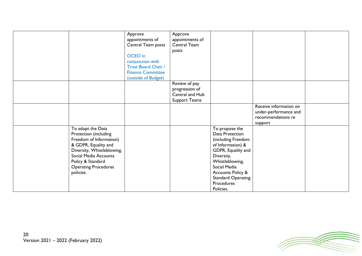|                                                                                                                                                                                                                       | Approve<br>appointments of<br>Central Team posts<br>OCEO in<br>conjunction with<br>Trust Board Chair /<br><b>Finance Committee</b><br>(outside of Budget) | Approve<br>appointments of<br>Central Team<br>posts                 |                                                                                                                                                                                                                                             |                                                                                  |  |
|-----------------------------------------------------------------------------------------------------------------------------------------------------------------------------------------------------------------------|-----------------------------------------------------------------------------------------------------------------------------------------------------------|---------------------------------------------------------------------|---------------------------------------------------------------------------------------------------------------------------------------------------------------------------------------------------------------------------------------------|----------------------------------------------------------------------------------|--|
|                                                                                                                                                                                                                       |                                                                                                                                                           | Review of pay<br>progression of<br>Central and Hub<br>Support Teams |                                                                                                                                                                                                                                             |                                                                                  |  |
|                                                                                                                                                                                                                       |                                                                                                                                                           |                                                                     |                                                                                                                                                                                                                                             | Receive information on<br>under-performance and<br>recommendations re<br>support |  |
| To adopt the Data<br>Protection (including<br>Freedom of Information)<br>& GDPR, Equality and<br>Diversity, Whistleblowing,<br>Social Media Accounts<br>Policy & Standard<br><b>Operating Procedures</b><br>policies. |                                                                                                                                                           |                                                                     | To propose the<br>Data Protection<br>(including Freedom<br>of Information) &<br>GDPR, Equality and<br>Diversity,<br>Whistleblowing,<br>Social Media<br><b>Accounts Policy &amp;</b><br><b>Standard Operating</b><br>Procedures<br>Policies. |                                                                                  |  |

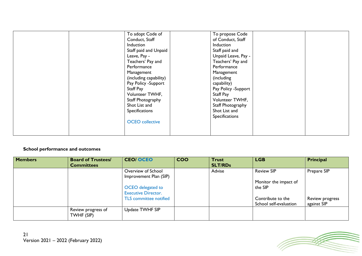| Performance<br>Performance<br>Management<br>Management<br>(including capability)<br>(including<br>Pay Policy - Support<br>capability)<br>Staff Pay<br>Pay Policy -Support<br>Staff Pay<br>Volunteer TWHF,<br>Volunteer TWHF,<br>Staff Photography<br>Shot List and<br>Staff Photography<br>Shot List and<br>Specifications<br>Specifications<br><b>OCEO</b> collective |
|------------------------------------------------------------------------------------------------------------------------------------------------------------------------------------------------------------------------------------------------------------------------------------------------------------------------------------------------------------------------|
|------------------------------------------------------------------------------------------------------------------------------------------------------------------------------------------------------------------------------------------------------------------------------------------------------------------------------------------------------------------------|

## **School performance and outcomes**

| <b>Members</b> | <b>Board of Trustees/</b><br><b>Committees</b> | <b>CEO/OCEO</b>                                 | <b>COO</b> | <b>Trust</b><br><b>SLT/RDs</b> | <b>LGB</b>                                  | Principal                      |
|----------------|------------------------------------------------|-------------------------------------------------|------------|--------------------------------|---------------------------------------------|--------------------------------|
|                |                                                | Overview of School<br>Improvement Plan (SIP)    |            | Advise                         | <b>Review SIP</b><br>Monitor the impact of  | Prepare SIP                    |
|                |                                                | OCEO delegated to<br><b>Executive Director.</b> |            |                                | the SIP                                     |                                |
|                |                                                | TLS committee notified                          |            |                                | Contribute to the<br>School self-evaluation | Review progress<br>against SIP |
|                | Review progress of<br>TWHF (SIP)               | Update TWHF SIP                                 |            |                                |                                             |                                |

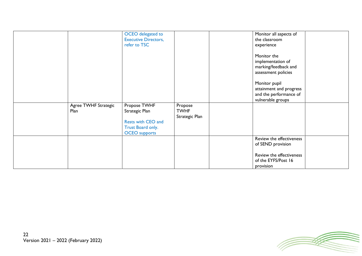|                              | OCEO delegated to<br><b>Executive Directors,</b><br>refer to TSC |                                          | Monitor all aspects of<br>the classroom<br>experience                                   |  |
|------------------------------|------------------------------------------------------------------|------------------------------------------|-----------------------------------------------------------------------------------------|--|
|                              |                                                                  |                                          | Monitor the<br>implementation of<br>marking/feedback and<br>assessment policies         |  |
|                              |                                                                  |                                          | Monitor pupil<br>attainment and progress<br>and the performance of<br>vulnerable groups |  |
| Agree TWHF Strategic<br>Plan | Propose TWHF<br>Strategic Plan                                   | Propose<br><b>TWHF</b><br>Strategic Plan |                                                                                         |  |
|                              | Rests with CEO and<br>Trust Board only.<br><b>OCEO</b> supports  |                                          |                                                                                         |  |
|                              |                                                                  |                                          | Review the effectiveness<br>of SEND provision                                           |  |
|                              |                                                                  |                                          | Review the effectiveness<br>of the EYFS/Post 16<br>provision                            |  |

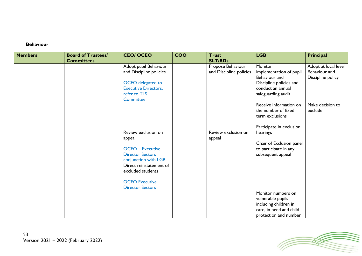#### **Behaviour**

| <b>Members</b> | <b>Board of Trustees/</b> | <b>CEO/OCEO</b>                                                                                                                          | <b>COO</b> | <b>Trust</b>                                 | <b>LGB</b>                                                                                                                                                                         | <b>Principal</b>                                           |
|----------------|---------------------------|------------------------------------------------------------------------------------------------------------------------------------------|------------|----------------------------------------------|------------------------------------------------------------------------------------------------------------------------------------------------------------------------------------|------------------------------------------------------------|
|                | <b>Committees</b>         |                                                                                                                                          |            | <b>SLT/RDs</b>                               |                                                                                                                                                                                    |                                                            |
|                |                           | Adopt pupil Behaviour<br>and Discipline policies<br><b>OCEO</b> delegated to<br><b>Executive Directors,</b><br>refer to TLS<br>Committee |            | Propose Behaviour<br>and Discipline policies | Monitor<br>implementation of pupil<br>Behaviour and<br>Discipline policies and<br>conduct an annual<br>safeguarding audit                                                          | Adopt at local level<br>Behaviour and<br>Discipline policy |
|                |                           | Review exclusion on<br>appeal<br><b>OCEO</b> – Executive<br><b>Director Sectors</b><br>conjunction with LGB                              |            | Review exclusion on<br>appeal                | Receive information on<br>the number of fixed<br>term exclusions<br>Participate in exclusion<br>hearings<br>Chair of Exclusion panel<br>to participate in any<br>subsequent appeal | Make decision to<br>exclude                                |
|                |                           | Direct reinstatement of<br>excluded students<br><b>OCEO</b> Executive<br><b>Director Sectors</b>                                         |            |                                              |                                                                                                                                                                                    |                                                            |
|                |                           |                                                                                                                                          |            |                                              | Monitor numbers on<br>vulnerable pupils<br>including children in<br>care, in need and child<br>protection and number                                                               |                                                            |

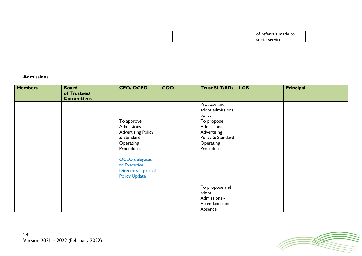|  |  | ot.<br>t reterrals made to |  |
|--|--|----------------------------|--|
|  |  | social services            |  |

#### **Admissions**

| <b>Members</b> | <b>Board</b><br>of Trustees/<br><b>Committees</b> | <b>CEO/OCEO</b>                                                                                                                                                                        | <b>COO</b> | <b>Trust SLT/RDs</b>                                                                    | <b>LGB</b> | <b>Principal</b> |
|----------------|---------------------------------------------------|----------------------------------------------------------------------------------------------------------------------------------------------------------------------------------------|------------|-----------------------------------------------------------------------------------------|------------|------------------|
|                |                                                   |                                                                                                                                                                                        |            | Propose and<br>adopt admissions<br>policy                                               |            |                  |
|                |                                                   | To approve<br>Admissions<br><b>Advertising Policy</b><br>& Standard<br>Operating<br>Procedures<br><b>OCEO</b> delegated<br>to Executive<br>Directors - part of<br><b>Policy Update</b> |            | To propose<br>Admissions<br>Advertising<br>Policy & Standard<br>Operating<br>Procedures |            |                  |
|                |                                                   |                                                                                                                                                                                        |            | To propose and<br>adopt<br>Admissions -<br>Attendance and<br>Absence                    |            |                  |

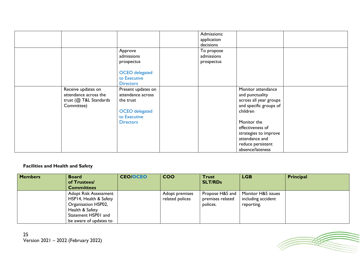|                                                                                     |                                                                                                                   | Admissions:<br>application<br>decisions |                                                                                                                                                                                                                              |  |
|-------------------------------------------------------------------------------------|-------------------------------------------------------------------------------------------------------------------|-----------------------------------------|------------------------------------------------------------------------------------------------------------------------------------------------------------------------------------------------------------------------------|--|
|                                                                                     | Approve<br>admissions<br>prospectus<br><b>OCEO</b> delegated<br>to Executive<br><b>Directors</b>                  | To propose<br>admissions<br>prospectus  |                                                                                                                                                                                                                              |  |
| Receive updates on<br>attendance across the<br>trust (@ T&L Standards<br>Committee) | Present updates on<br>attendance across<br>the trust<br><b>OCEO</b> delegated<br>to Executive<br><b>Directors</b> |                                         | Monitor attendance<br>and punctuality<br>across all year groups<br>and specific groups of<br>children<br>Monitor the<br>effectiveness of<br>strategies to improve<br>attendance and<br>reduce persistent<br>absence/lateness |  |

## **Facilities and Health and Safety**

| <b>Members</b> | <b>Board</b><br>of Trustees/<br><b>Committees</b>                                                                                                 | <b>CEO/OCEO</b> | COO                               | <b>Trust</b><br><b>SLT/RDs</b>                  | <b>LGB</b>                                             | <b>Principal</b> |
|----------------|---------------------------------------------------------------------------------------------------------------------------------------------------|-----------------|-----------------------------------|-------------------------------------------------|--------------------------------------------------------|------------------|
|                | <b>Adopt Risk Assessment</b><br>HSP14, Health & Safety<br>Organisation HSP02,<br>Health & Safety<br>Statement HSP01 and<br>be aware of updates to |                 | Adopt premises<br>related polices | Propose H&S and<br>premises related<br>polices. | Monitor H&S issues<br>including accident<br>reporting. |                  |

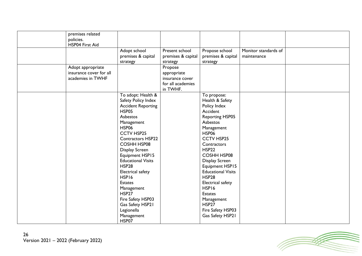| premises related<br>policies.                |                                    |                                |                           |                      |  |
|----------------------------------------------|------------------------------------|--------------------------------|---------------------------|----------------------|--|
| HSP04 First Aid                              |                                    | Present school                 |                           | Monitor standards of |  |
|                                              | Adopt school<br>premises & capital |                                | Propose school            |                      |  |
|                                              |                                    | premises & capital             | premises & capital        | maintenance          |  |
|                                              | strategy                           | strategy                       | strategy                  |                      |  |
| Adopt appropriate<br>insurance cover for all |                                    | Propose                        |                           |                      |  |
| academies in TWHF                            |                                    | appropriate<br>insurance cover |                           |                      |  |
|                                              |                                    | for all academies              |                           |                      |  |
|                                              |                                    | in TWHF.                       |                           |                      |  |
|                                              | To adopt: Health &                 |                                | To propose:               |                      |  |
|                                              | Safety Policy Index                |                                | Health & Safety           |                      |  |
|                                              | <b>Accident Reporting</b>          |                                | Policy Index              |                      |  |
|                                              | HSP05                              |                                | Accident                  |                      |  |
|                                              | Asbestos                           |                                | <b>Reporting HSP05</b>    |                      |  |
|                                              | Management                         |                                | Asbestos                  |                      |  |
|                                              | <b>HSP06</b>                       |                                | Management                |                      |  |
|                                              | <b>CCTV HSP25</b>                  |                                | HSP06                     |                      |  |
|                                              | <b>Contractors HSP22</b>           |                                | <b>CCTV HSP25</b>         |                      |  |
|                                              | <b>COSHH HSP08</b>                 |                                | Contractors               |                      |  |
|                                              | Display Screen                     |                                | <b>HSP22</b>              |                      |  |
|                                              | <b>Equipment HSP15</b>             |                                | <b>COSHH HSP08</b>        |                      |  |
|                                              | <b>Educational Visits</b>          |                                | Display Screen            |                      |  |
|                                              | <b>HSP28</b>                       |                                | Equipment HSP15           |                      |  |
|                                              | Electrical safety                  |                                | <b>Educational Visits</b> |                      |  |
|                                              | HSP16                              |                                | <b>HSP28</b>              |                      |  |
|                                              | <b>Estates</b>                     |                                | Electrical safety         |                      |  |
|                                              | Management                         |                                | HSP16                     |                      |  |
|                                              | HSP27                              |                                | <b>Estates</b>            |                      |  |
|                                              | Fire Safety HSP03                  |                                | Management                |                      |  |
|                                              | Gas Safety HSP21                   |                                | <b>HSP27</b>              |                      |  |
|                                              | Legionella                         |                                | Fire Safety HSP03         |                      |  |
|                                              | Management                         |                                | Gas Safety HSP21          |                      |  |
|                                              | HSP07                              |                                |                           |                      |  |

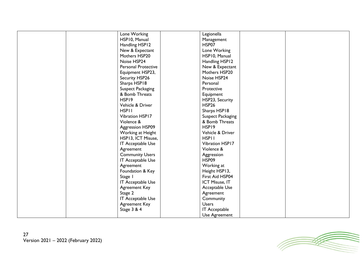| Lone Working               | Legionella               |  |
|----------------------------|--------------------------|--|
| HSP10, Manual              | Management               |  |
| Handling HSP12             | HSP07                    |  |
| New & Expectant            | Lone Working             |  |
| Mothers HSP20              | HSP10, Manual            |  |
| Noise HSP24                | Handling HSP12           |  |
| <b>Personal Protective</b> | New & Expectant          |  |
| Equipment HSP23,           | Mothers HSP20            |  |
| Security HSP26             | Noise HSP24              |  |
| Sharps HSP18               | Personal                 |  |
| <b>Suspect Packaging</b>   | Protective               |  |
| & Bomb Threats             | Equipment                |  |
| HSP19                      | HSP23, Security          |  |
| Vehicle & Driver           | <b>HSP26</b>             |  |
| <b>HSPII</b>               | Sharps HSP18             |  |
| <b>Vibration HSP17</b>     | <b>Suspect Packaging</b> |  |
| Violence &                 | & Bomb Threats           |  |
| <b>Aggression HSP09</b>    | HSP19                    |  |
| Working at Height          | Vehicle & Driver         |  |
| HSP13, ICT Misuse,         | <b>HSPII</b>             |  |
| IT Acceptable Use          | Vibration HSP17          |  |
| Agreement                  | Violence &               |  |
| <b>Community Users</b>     | Aggression               |  |
| IT Acceptable Use          | HSP09                    |  |
| Agreement                  | Working at               |  |
| Foundation & Key           | Height HSP13,            |  |
| Stage 1                    | First Aid HSP04          |  |
| IT Acceptable Use          | <b>ICT Misuse, IT</b>    |  |
| <b>Agreement Key</b>       | Acceptable Use           |  |
| Stage 2                    | Agreement                |  |
| IT Acceptable Use          | Community                |  |
| <b>Agreement Key</b>       | <b>Users</b>             |  |
| <b>Stage 3 &amp; 4</b>     | <b>IT Acceptable</b>     |  |
|                            | Use Agreement            |  |

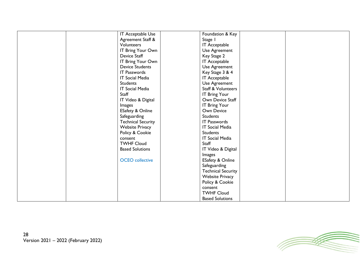| IT Acceptable Use         | Foundation & Key            |  |
|---------------------------|-----------------------------|--|
| Agreement Staff &         | Stage I                     |  |
| <b>Volunteers</b>         | <b>IT Acceptable</b>        |  |
| IT Bring Your Own         | Use Agreement               |  |
| Device Staff              | Key Stage 2                 |  |
| IT Bring Your Own         | <b>IT Acceptable</b>        |  |
| <b>Device Students</b>    | Use Agreement               |  |
| <b>IT Passwords</b>       | Key Stage 3 & 4             |  |
| <b>IT Social Media</b>    | <b>IT Acceptable</b>        |  |
| <b>Students</b>           | Use Agreement               |  |
| <b>IT Social Media</b>    | Staff & Volunteers          |  |
| Staff                     | <b>IT Bring Your</b>        |  |
| IT Video & Digital        | Own Device Staff            |  |
| Images                    | <b>IT Bring Your</b>        |  |
| ESafety & Online          | Own Device                  |  |
| Safeguarding              | <b>Students</b>             |  |
| <b>Technical Security</b> | <b>IT Passwords</b>         |  |
| <b>Website Privacy</b>    | <b>IT Social Media</b>      |  |
| Policy & Cookie           | <b>Students</b>             |  |
| consent                   | <b>IT Social Media</b>      |  |
| <b>TWHF Cloud</b>         | Staff                       |  |
| <b>Based Solutions</b>    | IT Video & Digital          |  |
|                           | Images                      |  |
| <b>OCEO</b> collective    | <b>ESafety &amp; Online</b> |  |
|                           | Safeguarding                |  |
|                           | <b>Technical Security</b>   |  |
|                           | <b>Website Privacy</b>      |  |
|                           | Policy & Cookie             |  |
|                           | consent                     |  |
|                           | <b>TWHF Cloud</b>           |  |
|                           | <b>Based Solutions</b>      |  |

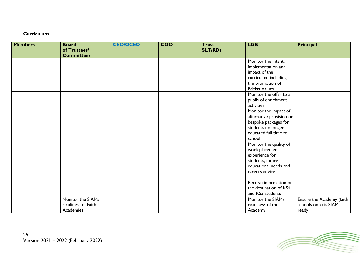## **Curriculum**

| <b>Members</b> | <b>Board</b><br>of Trustees/<br><b>Committees</b> | <b>CEO/OCEO</b> | <b>COO</b> | <b>Trust</b><br><b>SLT/RDs</b> | <b>LGB</b>               | <b>Principal</b>          |
|----------------|---------------------------------------------------|-----------------|------------|--------------------------------|--------------------------|---------------------------|
|                |                                                   |                 |            |                                | Monitor the intent,      |                           |
|                |                                                   |                 |            |                                | implementation and       |                           |
|                |                                                   |                 |            |                                | impact of the            |                           |
|                |                                                   |                 |            |                                | curriculum including     |                           |
|                |                                                   |                 |            |                                | the promotion of         |                           |
|                |                                                   |                 |            |                                | <b>British Values</b>    |                           |
|                |                                                   |                 |            |                                | Monitor the offer to all |                           |
|                |                                                   |                 |            |                                | pupils of enrichment     |                           |
|                |                                                   |                 |            |                                | activities               |                           |
|                |                                                   |                 |            |                                | Monitor the impact of    |                           |
|                |                                                   |                 |            |                                | alternative provision or |                           |
|                |                                                   |                 |            |                                | bespoke packages for     |                           |
|                |                                                   |                 |            |                                | students no longer       |                           |
|                |                                                   |                 |            |                                | educated full time at    |                           |
|                |                                                   |                 |            |                                | school                   |                           |
|                |                                                   |                 |            |                                | Monitor the quality of   |                           |
|                |                                                   |                 |            |                                | work placement           |                           |
|                |                                                   |                 |            |                                | experience for           |                           |
|                |                                                   |                 |            |                                | students, future         |                           |
|                |                                                   |                 |            |                                | educational needs and    |                           |
|                |                                                   |                 |            |                                | careers advice           |                           |
|                |                                                   |                 |            |                                |                          |                           |
|                |                                                   |                 |            |                                | Receive information on   |                           |
|                |                                                   |                 |            |                                | the destination of KS4   |                           |
|                |                                                   |                 |            |                                | and KS5 students         |                           |
|                | Monitor the SIAMs                                 |                 |            |                                | Monitor the SIAMs        | Ensure the Academy (faith |
|                | readiness of Faith                                |                 |            |                                | readiness of the         | schools only) is SIAMs    |
|                | Academies                                         |                 |            |                                | Academy                  | ready                     |

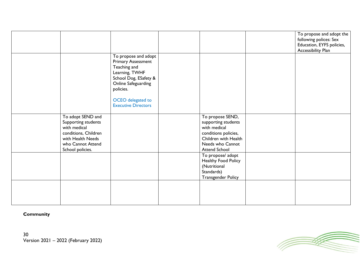|                                                                                                                                                |                                                                                                                                                                                                     |                                                                                                                                                                                                                               | To propose and adopt the<br>following polices: Sex<br>Education, EYFS policies,<br>Accessibility Plan |
|------------------------------------------------------------------------------------------------------------------------------------------------|-----------------------------------------------------------------------------------------------------------------------------------------------------------------------------------------------------|-------------------------------------------------------------------------------------------------------------------------------------------------------------------------------------------------------------------------------|-------------------------------------------------------------------------------------------------------|
|                                                                                                                                                | To propose and adopt<br><b>Primary Assessment</b><br>Teaching and<br>Learning, TWHF<br>School Dog, ESafety &<br>Online Safeguarding<br>policies.<br>OCEO delegated to<br><b>Executive Directors</b> |                                                                                                                                                                                                                               |                                                                                                       |
| To adopt SEND and<br>Supporting students<br>with medical<br>conditions, Children<br>with Health Needs<br>who Cannot Attend<br>School policies. |                                                                                                                                                                                                     | To propose SEND,<br>supporting students<br>with medical<br>conditions policies,<br>Children with Health<br>Needs who Cannot<br><b>Attend School</b><br>To propose/ adopt<br>Healthy Food Policy<br>(Nutritional<br>Standards) |                                                                                                       |
|                                                                                                                                                |                                                                                                                                                                                                     | <b>Transgender Policy</b>                                                                                                                                                                                                     |                                                                                                       |

# **Community**

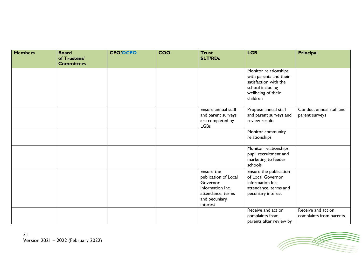| <b>Members</b> | <b>Board</b><br>of Trustees/<br><b>Committees</b> | <b>CEO/OCEO</b> | <b>COO</b> | <b>Trust</b><br><b>SLT/RDs</b>                                                                                       | <b>LGB</b>                                                                                                                     | Principal                                     |
|----------------|---------------------------------------------------|-----------------|------------|----------------------------------------------------------------------------------------------------------------------|--------------------------------------------------------------------------------------------------------------------------------|-----------------------------------------------|
|                |                                                   |                 |            |                                                                                                                      | Monitor relationships<br>with parents and their<br>satisfaction with the<br>school including<br>wellbeing of their<br>children |                                               |
|                |                                                   |                 |            | Ensure annual staff<br>and parent surveys<br>are completed by<br><b>LGBs</b>                                         | Propose annual staff<br>and parent surveys and<br>review results                                                               | Conduct annual staff and<br>parent surveys    |
|                |                                                   |                 |            |                                                                                                                      | Monitor community<br>relationships                                                                                             |                                               |
|                |                                                   |                 |            |                                                                                                                      | Monitor relationships,<br>pupil recruitment and<br>marketing to feeder<br>schools                                              |                                               |
|                |                                                   |                 |            | Ensure the<br>publication of Local<br>Governor<br>information Inc.<br>attendance, terms<br>and pecuniary<br>interest | Ensure the publication<br>of Local Governor<br>information Inc.<br>attendance, terms and<br>pecuniary interest                 |                                               |
|                |                                                   |                 |            |                                                                                                                      | Receive and act on<br>complaints from<br>parents after review by                                                               | Receive and act on<br>complaints from parents |

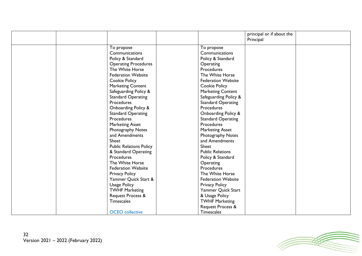|                                |                           | principal or if about the |  |
|--------------------------------|---------------------------|---------------------------|--|
|                                |                           | Principal                 |  |
| To propose                     | To propose                |                           |  |
| Communications                 | Communications            |                           |  |
| Policy & Standard              | Policy & Standard         |                           |  |
| <b>Operating Procedures</b>    | Operating                 |                           |  |
| The White Horse                | Procedures                |                           |  |
| <b>Federation Website</b>      | The White Horse           |                           |  |
| Cookie Policy                  | <b>Federation Website</b> |                           |  |
| Marketing Content              | Cookie Policy             |                           |  |
| Safeguarding Policy &          | <b>Marketing Content</b>  |                           |  |
| <b>Standard Operating</b>      | Safeguarding Policy &     |                           |  |
| Procedures                     | <b>Standard Operating</b> |                           |  |
| Onboarding Policy &            | <b>Procedures</b>         |                           |  |
| <b>Standard Operating</b>      | Onboarding Policy &       |                           |  |
| Procedures                     | <b>Standard Operating</b> |                           |  |
| <b>Marketing Asset</b>         | Procedures                |                           |  |
| Photography Notes              | <b>Marketing Asset</b>    |                           |  |
| and Amendments                 | Photography Notes         |                           |  |
| Sheet                          | and Amendments            |                           |  |
| <b>Public Relations Policy</b> | Sheet                     |                           |  |
| & Standard Operating           | <b>Public Relations</b>   |                           |  |
| Procedures                     | Policy & Standard         |                           |  |
| The White Horse                | Operating                 |                           |  |
| <b>Federation Website</b>      | Procedures                |                           |  |
| <b>Privacy Policy</b>          | The White Horse           |                           |  |
| Yammer Quick Start &           | <b>Federation Website</b> |                           |  |
| <b>Usage Policy</b>            | Privacy Policy            |                           |  |
| <b>TWHF Marketing</b>          | Yammer Quick Start        |                           |  |
| Request Process &              | & Usage Policy            |                           |  |
| <b>Timescales</b>              | <b>TWHF Marketing</b>     |                           |  |
|                                | Request Process &         |                           |  |
| <b>OCEO</b> collective         | Timescales                |                           |  |



32

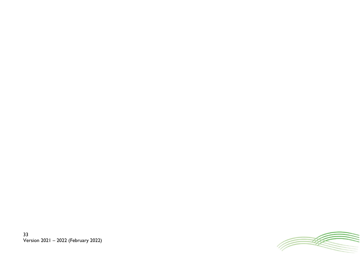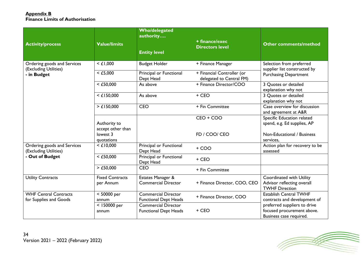#### **Appendix B Finance Limits of Authorisation**

| <b>Activity/process</b>                                | <b>Value/limits</b>                 | <b>Who/delegated</b><br>authority<br><b>Entity level</b>   | + finance/exec<br><b>Directors level</b>                     | <b>Other comments/method</b>                                                          |
|--------------------------------------------------------|-------------------------------------|------------------------------------------------------------|--------------------------------------------------------------|---------------------------------------------------------------------------------------|
| Ordering goods and Services<br>(Excluding Utilities)   | $<$ £1,000<br>$<$ £5,000            | <b>Budget Holder</b><br>Principal or Functional            | + Finance Manager<br>$\overline{+}$ Financial Controller (or | Selection from preferred<br>supplier list constructed by                              |
| - in Budget                                            |                                     | Dept Head                                                  | delegated to Central FM)                                     | <b>Purchasing Department</b>                                                          |
|                                                        | $<$ £50,000                         | As above                                                   | + Finance Director/COO                                       | 3 Quotes or detailed<br>explanation why not                                           |
|                                                        | $<$ £150,000                        | As above                                                   | + CEO                                                        | 3 Ouotes or detailed<br>explanation why not                                           |
|                                                        | >E150,000                           | <b>CEO</b>                                                 | + Fin Committee                                              | Case overview for discussion<br>and agreement at A&R                                  |
|                                                        | Authority to<br>accept other than   |                                                            | CEO + COO                                                    | Specific Education related<br>spend, e.g. Ed supplies, AP                             |
|                                                        | lowest 3<br>quotations              |                                                            | FD / COO/ CEO                                                | Non-Educational / Business<br>services,                                               |
| Ordering goods and Services<br>(Excluding Utilities)   | $<$ £10,000                         | Principal or Functional<br>Dept Head                       | + COO                                                        | Action plan for recovery to be<br>assessed                                            |
| - Out of Budget                                        | $<$ £50,000                         | Principal or Functional<br>Dept Head                       | + CEO                                                        |                                                                                       |
|                                                        | >£50,000                            | <b>CEO</b>                                                 | + Fin Committee                                              |                                                                                       |
| <b>Utility Contracts</b>                               | <b>Fixed Contracts</b><br>per Annum | Estates Manager &<br><b>Commercial Director</b>            | + Finance Director, COO, CEO                                 | Coordinated with Utility<br>Advisor reflecting overall<br><b>TWHF Direction</b>       |
| <b>WHF Central Contracts</b><br>for Supplies and Goods | < 50000 per<br>annum                | Commercial Director<br><b>Functional Dept Heads</b>        | + Finance Director, COO                                      | <b>Establish Central TWHF</b><br>contracts and development of                         |
|                                                        | < 150000 per<br>annum               | <b>Commercial Director</b><br><b>Functional Dept Heads</b> | + CEO                                                        | preferred suppliers to drive<br>focused procurement above.<br>Business case required. |

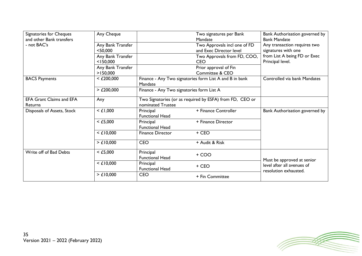| Signatories for Cheques<br>and other Bank transfers | Any Cheque        |                                                          | Two signatures per Bank<br>Mandate                      | Bank Authorisation governed by<br><b>Bank Mandate</b> |  |
|-----------------------------------------------------|-------------------|----------------------------------------------------------|---------------------------------------------------------|-------------------------------------------------------|--|
| - not BAC's                                         | Any Bank Transfer |                                                          | Two Approvals incl one of FD                            | Any transaction requires two                          |  |
|                                                     | $<$ 50,000        |                                                          | and Exec Director level                                 | signatures with one                                   |  |
|                                                     | Any Bank Transfer |                                                          | Two Approvals from FD, COO,                             | from List A being FD or Exec                          |  |
|                                                     | $<$ 150,000       |                                                          | <b>CEO</b>                                              | Principal level.                                      |  |
|                                                     | Any Bank Transfer |                                                          | Prior approval of Fin                                   |                                                       |  |
|                                                     | >150,000          |                                                          | Committee & CEO                                         |                                                       |  |
| <b>BACS Payments</b>                                | $<$ £200,000      |                                                          | Finance - Any Two signatories form List A and B in bank | Controlled via bank Mandates                          |  |
|                                                     |                   | Mandate                                                  |                                                         |                                                       |  |
|                                                     | > £200,000        | Finance - Any Two signatories form List A                |                                                         |                                                       |  |
| <b>EFA Grant Claims and EFA</b>                     | Any               | Two Signatories (or as required by ESFA) from FD, CEO or |                                                         |                                                       |  |
| Returns                                             |                   | nominated Trustee                                        |                                                         |                                                       |  |
| Disposals of Assets, Stock                          | $<$ £1,000        | Principal                                                | + Finance Controller                                    | Bank Authorisation governed by                        |  |
|                                                     |                   | <b>Functional Head</b>                                   |                                                         |                                                       |  |
|                                                     | $<$ £5,000        | Principal                                                | + Finance Director                                      |                                                       |  |
|                                                     |                   | <b>Functional Head</b>                                   |                                                         |                                                       |  |
|                                                     | $<$ £10,000       | <b>Finance Director</b>                                  | $+$ CEO                                                 |                                                       |  |
|                                                     | >E10,000          | <b>CEO</b>                                               | + Audit & Risk                                          |                                                       |  |
| Write off of Bad Debts                              | $<$ £5,000        | Principal                                                | $+ COO$                                                 |                                                       |  |
|                                                     |                   | <b>Functional Head</b>                                   |                                                         | Must be approved at senior                            |  |
|                                                     | $<$ £10,000       | Principal                                                | + CEO                                                   | level after all avenues of                            |  |
|                                                     |                   | <b>Functional Head</b>                                   |                                                         |                                                       |  |
|                                                     | >E10,000          | <b>CEO</b>                                               | + Fin Committee                                         | resolution exhausted.                                 |  |

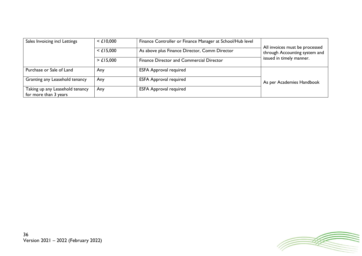| Sales Invoicing incl Lettings                            | $<$ £10,000                          | Finance Controller or Finance Manager at School/Hub level | All invoices must be processed<br>through Accounting system and<br>issued in timely manner. |  |
|----------------------------------------------------------|--------------------------------------|-----------------------------------------------------------|---------------------------------------------------------------------------------------------|--|
|                                                          | $<$ £15,000                          | As above plus Finance Director, Comm Director             |                                                                                             |  |
|                                                          | >E15,000                             | Finance Director and Commercial Director                  |                                                                                             |  |
| Purchase or Sale of Land                                 | Any                                  | <b>ESFA Approval required</b>                             |                                                                                             |  |
| Granting any Leasehold tenancy                           | <b>ESFA Approval required</b><br>Any |                                                           | As per Academies Handbook                                                                   |  |
| Taking up any Leasehold tenancy<br>for more than 3 years | Any                                  | <b>ESFA Approval required</b>                             |                                                                                             |  |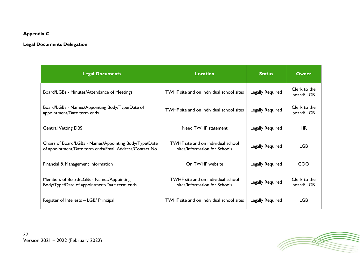# **Appendix C**

# **Legal Documents Delegation**

| <b>Legal Documents</b>                                                                                           | <b>Location</b>                                                     | <b>Status</b>    | Owner                     |
|------------------------------------------------------------------------------------------------------------------|---------------------------------------------------------------------|------------------|---------------------------|
| Board/LGBs - Minutes/Attendance of Meetings                                                                      | TWHF site and on individual school sites                            | Legally Required | Clerk to the<br>board/LGB |
| Board/LGBs - Names/Appointing Body/Type/Date of<br>appointment/Date term ends                                    | TWHF site and on individual school sites                            | Legally Required | Clerk to the<br>board/LGB |
| <b>Central Vetting DBS</b>                                                                                       | Need TWHF statement                                                 | Legally Required | <b>HR</b>                 |
| Chairs of Board/LGBs - Names/Appointing Body/Type/Date<br>of appointment/Date term ends/Email Address/Contact No | TWHF site and on individual school<br>sites/Information for Schools | Legally Required | <b>LGB</b>                |
| Financial & Management Information                                                                               | On TWHF website                                                     | Legally Required | COO                       |
| Members of Board/LGBs - Names/Appointing<br>Body/Type/Date of appointment/Date term ends                         | TWHF site and on individual school<br>sites/Information for Schools | Legally Required | Clerk to the<br>board/LGB |
| Register of Interests - LGB/ Principal                                                                           | TWHF site and on individual school sites                            | Legally Required | <b>LGB</b>                |